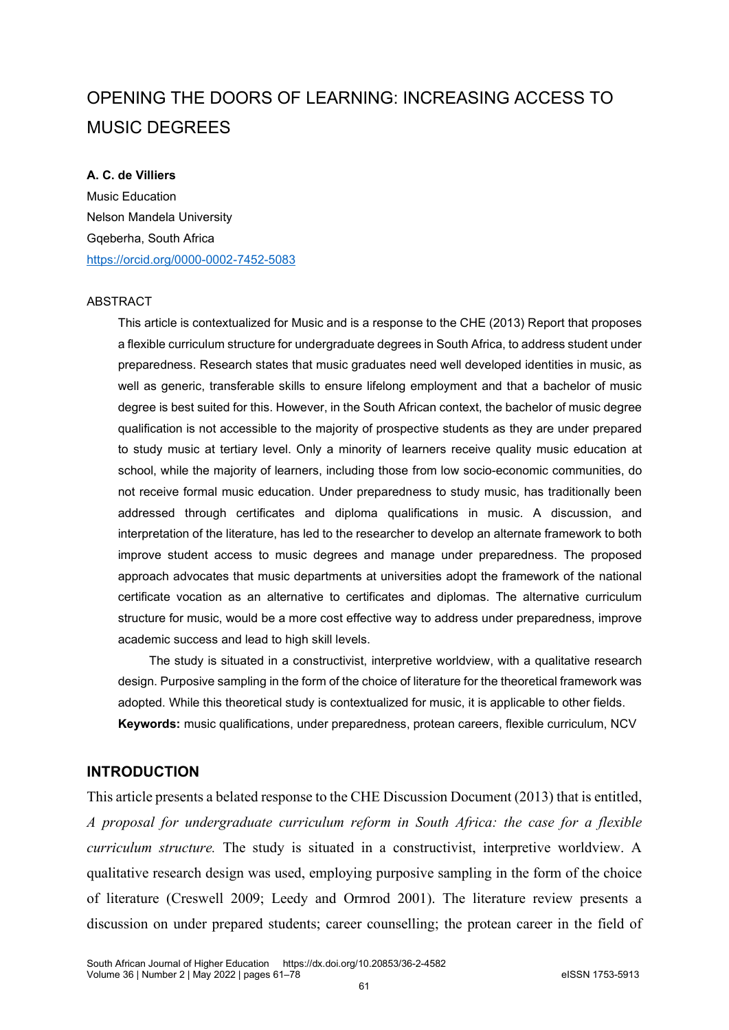# OPENING THE DOORS OF LEARNING: INCREASING ACCESS TO MUSIC DEGREES

#### **A. C. de Villiers**

Music Education Nelson Mandela University Gqeberha, South Africa <https://orcid.org/0000-0002-7452-5083>

#### ABSTRACT

This article is contextualized for Music and is a response to the CHE (2013) Report that proposes a flexible curriculum structure for undergraduate degrees in South Africa, to address student under preparedness. Research states that music graduates need well developed identities in music, as well as generic, transferable skills to ensure lifelong employment and that a bachelor of music degree is best suited for this. However, in the South African context, the bachelor of music degree qualification is not accessible to the majority of prospective students as they are under prepared to study music at tertiary level. Only a minority of learners receive quality music education at school, while the majority of learners, including those from low socio-economic communities, do not receive formal music education. Under preparedness to study music, has traditionally been addressed through certificates and diploma qualifications in music. A discussion, and interpretation of the literature, has led to the researcher to develop an alternate framework to both improve student access to music degrees and manage under preparedness. The proposed approach advocates that music departments at universities adopt the framework of the national certificate vocation as an alternative to certificates and diplomas. The alternative curriculum structure for music, would be a more cost effective way to address under preparedness, improve academic success and lead to high skill levels.

The study is situated in a constructivist, interpretive worldview, with a qualitative research design. Purposive sampling in the form of the choice of literature for the theoretical framework was adopted. While this theoretical study is contextualized for music, it is applicable to other fields. **Keywords:** music qualifications, under preparedness, protean careers, flexible curriculum, NCV

# **INTRODUCTION**

This article presents a belated response to the CHE Discussion Document (2013) that is entitled, *A proposal for undergraduate curriculum reform in South Africa: the case for a flexible curriculum structure.* The study is situated in a constructivist, interpretive worldview. A qualitative research design was used, employing purposive sampling in the form of the choice of literature (Creswell 2009; Leedy and Ormrod 2001). The literature review presents a discussion on under prepared students; career counselling; the protean career in the field of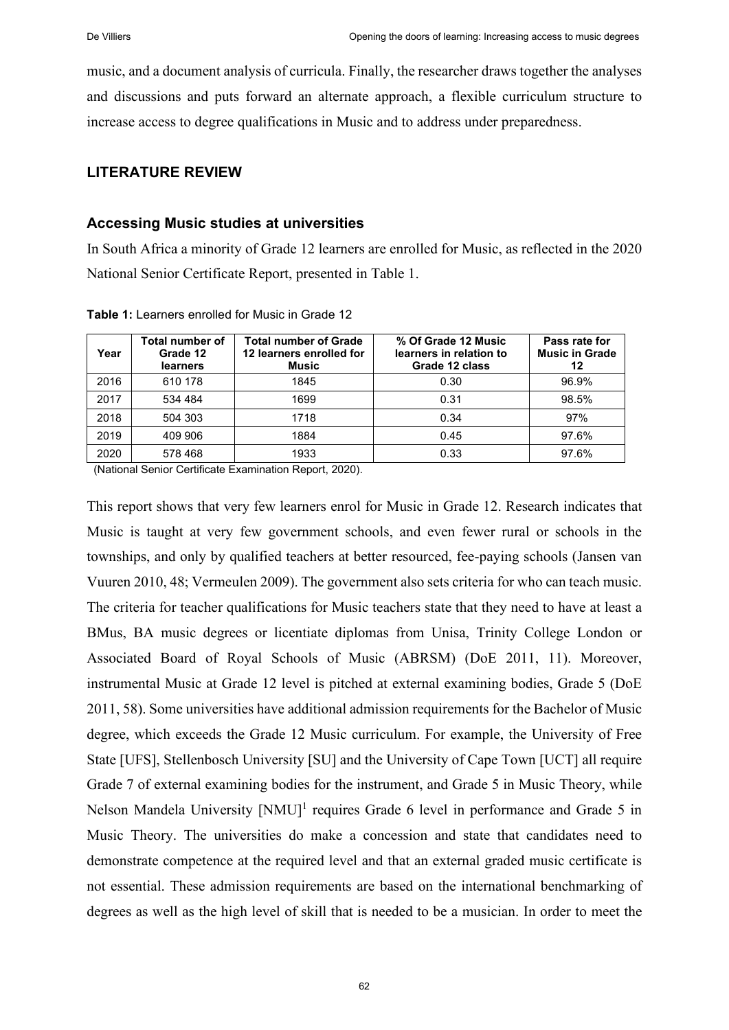music, and a document analysis of curricula. Finally, the researcher draws together the analyses and discussions and puts forward an alternate approach, a flexible curriculum structure to increase access to degree qualifications in Music and to address under preparedness.

# **LITERATURE REVIEW**

### **Accessing Music studies at universities**

In South Africa a minority of Grade 12 learners are enrolled for Music, as reflected in the 2020 National Senior Certificate Report, presented in Table 1.

| Year | Total number of<br>Grade 12<br>learners | <b>Total number of Grade</b><br>12 learners enrolled for<br><b>Music</b> | % Of Grade 12 Music<br>learners in relation to<br>Grade 12 class | Pass rate for<br><b>Music in Grade</b><br>12 |
|------|-----------------------------------------|--------------------------------------------------------------------------|------------------------------------------------------------------|----------------------------------------------|
| 2016 | 610 178                                 | 1845                                                                     | 0.30                                                             | 96.9%                                        |
| 2017 | 534 484                                 | 1699                                                                     | 0.31                                                             | 98.5%                                        |
| 2018 | 504 303                                 | 1718                                                                     | 0.34                                                             | 97%                                          |
| 2019 | 409 906                                 | 1884                                                                     | 0.45                                                             | 97.6%                                        |
| 2020 | 578 468                                 | 1933                                                                     | 0.33                                                             | 97.6%                                        |

**Table 1:** Learners enrolled for Music in Grade 12

(National Senior Certificate Examination Report, 2020).

This report shows that very few learners enrol for Music in Grade 12. Research indicates that Music is taught at very few government schools, and even fewer rural or schools in the townships, and only by qualified teachers at better resourced, fee-paying schools (Jansen van Vuuren 2010, 48; Vermeulen 2009). The government also sets criteria for who can teach music. The criteria for teacher qualifications for Music teachers state that they need to have at least a BMus, BA music degrees or licentiate diplomas from Unisa, Trinity College London or Associated Board of Royal Schools of Music (ABRSM) (DoE 2011, 11). Moreover, instrumental Music at Grade 12 level is pitched at external examining bodies, Grade 5 (DoE 2011, 58). Some universities have additional admission requirements for the Bachelor of Music degree, which exceeds the Grade 12 Music curriculum. For example, the University of Free State [UFS], Stellenbosch University [SU] and the University of Cape Town [UCT] all require Grade 7 of external examining bodies for the instrument, and Grade 5 in Music Theory, while Nelson Mandela University  $[NMU]^1$  requires Grade 6 level in performance and Grade 5 in Music Theory. The universities do make a concession and state that candidates need to demonstrate competence at the required level and that an external graded music certificate is not essential. These admission requirements are based on the international benchmarking of degrees as well as the high level of skill that is needed to be a musician. In order to meet the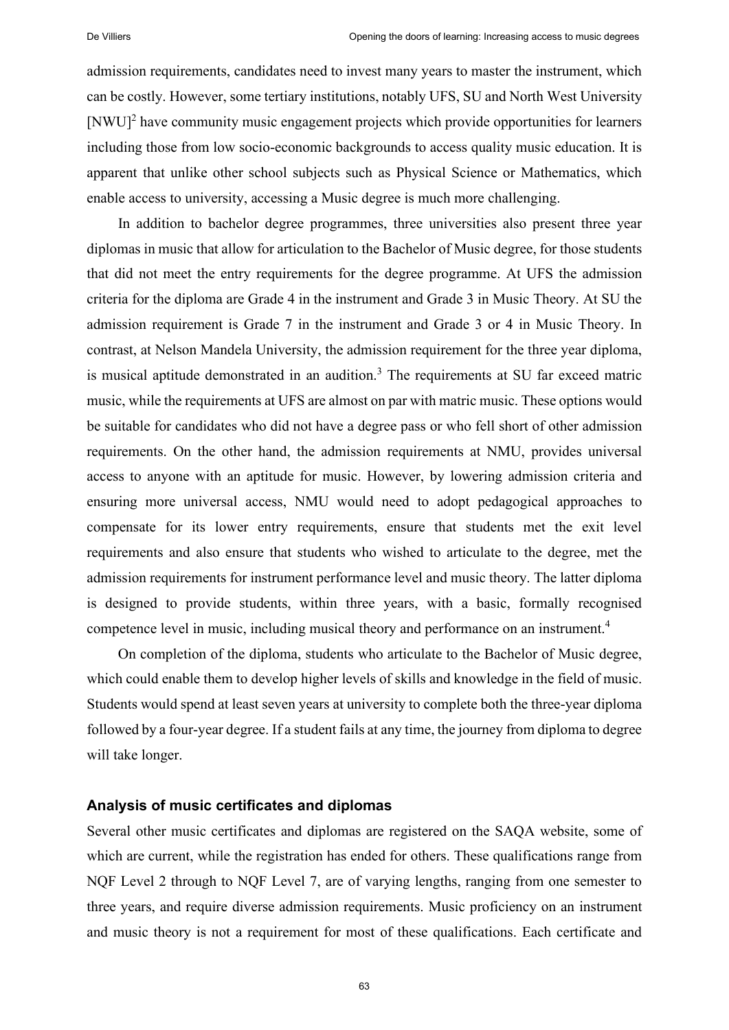admission requirements, candidates need to invest many years to master the instrument, which can be costly. However, some tertiary institutions, notably UFS, SU and North West University [NWU]<sup>2</sup> have community music engagement projects which provide opportunities for learners including those from low socio-economic backgrounds to access quality music education. It is apparent that unlike other school subjects such as Physical Science or Mathematics, which enable access to university, accessing a Music degree is much more challenging.

In addition to bachelor degree programmes, three universities also present three year diplomas in music that allow for articulation to the Bachelor of Music degree, for those students that did not meet the entry requirements for the degree programme. At UFS the admission criteria for the diploma are Grade 4 in the instrument and Grade 3 in Music Theory. At SU the admission requirement is Grade 7 in the instrument and Grade 3 or 4 in Music Theory. In contrast, at Nelson Mandela University, the admission requirement for the three year diploma, is musical aptitude demonstrated in an audition.<sup>3</sup> The requirements at SU far exceed matric music, while the requirements at UFS are almost on par with matric music. These options would be suitable for candidates who did not have a degree pass or who fell short of other admission requirements. On the other hand, the admission requirements at NMU, provides universal access to anyone with an aptitude for music. However, by lowering admission criteria and ensuring more universal access, NMU would need to adopt pedagogical approaches to compensate for its lower entry requirements, ensure that students met the exit level requirements and also ensure that students who wished to articulate to the degree, met the admission requirements for instrument performance level and music theory. The latter diploma is designed to provide students, within three years, with a basic, formally recognised competence level in music, including musical theory and performance on an instrument.<sup>4</sup>

On completion of the diploma, students who articulate to the Bachelor of Music degree, which could enable them to develop higher levels of skills and knowledge in the field of music. Students would spend at least seven years at university to complete both the three-year diploma followed by a four-year degree. If a student fails at any time, the journey from diploma to degree will take longer.

# **Analysis of music certificates and diplomas**

Several other music certificates and diplomas are registered on the SAQA website, some of which are current, while the registration has ended for others. These qualifications range from NQF Level 2 through to NQF Level 7, are of varying lengths, ranging from one semester to three years, and require diverse admission requirements. Music proficiency on an instrument and music theory is not a requirement for most of these qualifications. Each certificate and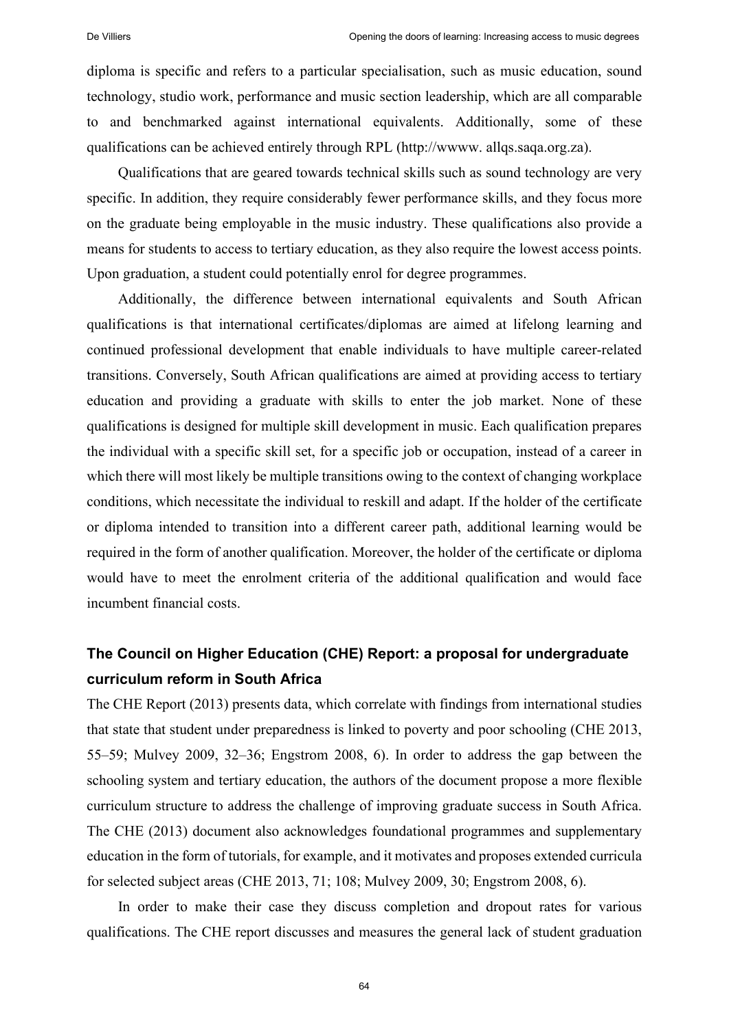diploma is specific and refers to a particular specialisation, such as music education, sound technology, studio work, performance and music section leadership, which are all comparable to and benchmarked against international equivalents. Additionally, some of these qualifications can be achieved entirely through RPL [\(http://wwww.](http://wwww/) allqs.saqa.org.za).

Qualifications that are geared towards technical skills such as sound technology are very specific. In addition, they require considerably fewer performance skills, and they focus more on the graduate being employable in the music industry. These qualifications also provide a means for students to access to tertiary education, as they also require the lowest access points. Upon graduation, a student could potentially enrol for degree programmes.

Additionally, the difference between international equivalents and South African qualifications is that international certificates/diplomas are aimed at lifelong learning and continued professional development that enable individuals to have multiple career-related transitions. Conversely, South African qualifications are aimed at providing access to tertiary education and providing a graduate with skills to enter the job market. None of these qualifications is designed for multiple skill development in music. Each qualification prepares the individual with a specific skill set, for a specific job or occupation, instead of a career in which there will most likely be multiple transitions owing to the context of changing workplace conditions, which necessitate the individual to reskill and adapt. If the holder of the certificate or diploma intended to transition into a different career path, additional learning would be required in the form of another qualification. Moreover, the holder of the certificate or diploma would have to meet the enrolment criteria of the additional qualification and would face incumbent financial costs.

# **The Council on Higher Education (CHE) Report: a proposal for undergraduate curriculum reform in South Africa**

The CHE Report (2013) presents data, which correlate with findings from international studies that state that student under preparedness is linked to poverty and poor schooling (CHE 2013, 55‒59; Mulvey 2009, 32‒36; Engstrom 2008, 6). In order to address the gap between the schooling system and tertiary education, the authors of the document propose a more flexible curriculum structure to address the challenge of improving graduate success in South Africa. The CHE (2013) document also acknowledges foundational programmes and supplementary education in the form of tutorials, for example, and it motivates and proposes extended curricula for selected subject areas (CHE 2013, 71; 108; Mulvey 2009, 30; Engstrom 2008, 6).

In order to make their case they discuss completion and dropout rates for various qualifications. The CHE report discusses and measures the general lack of student graduation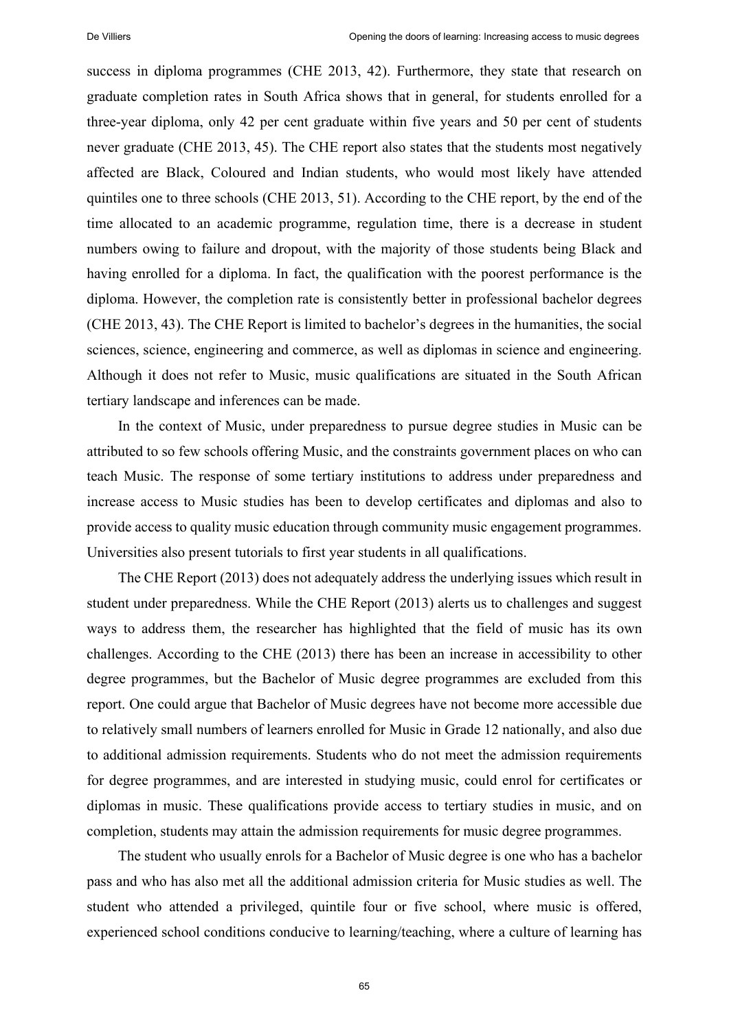success in diploma programmes (CHE 2013, 42). Furthermore, they state that research on graduate completion rates in South Africa shows that in general, for students enrolled for a three-year diploma, only 42 per cent graduate within five years and 50 per cent of students never graduate (CHE 2013, 45). The CHE report also states that the students most negatively affected are Black, Coloured and Indian students, who would most likely have attended quintiles one to three schools (CHE 2013, 51). According to the CHE report, by the end of the time allocated to an academic programme, regulation time, there is a decrease in student numbers owing to failure and dropout, with the majority of those students being Black and having enrolled for a diploma. In fact, the qualification with the poorest performance is the diploma. However, the completion rate is consistently better in professional bachelor degrees (CHE 2013, 43). The CHE Report is limited to bachelor's degrees in the humanities, the social sciences, science, engineering and commerce, as well as diplomas in science and engineering. Although it does not refer to Music, music qualifications are situated in the South African tertiary landscape and inferences can be made.

In the context of Music, under preparedness to pursue degree studies in Music can be attributed to so few schools offering Music, and the constraints government places on who can teach Music. The response of some tertiary institutions to address under preparedness and increase access to Music studies has been to develop certificates and diplomas and also to provide access to quality music education through community music engagement programmes. Universities also present tutorials to first year students in all qualifications.

The CHE Report (2013) does not adequately address the underlying issues which result in student under preparedness. While the CHE Report (2013) alerts us to challenges and suggest ways to address them, the researcher has highlighted that the field of music has its own challenges. According to the CHE (2013) there has been an increase in accessibility to other degree programmes, but the Bachelor of Music degree programmes are excluded from this report. One could argue that Bachelor of Music degrees have not become more accessible due to relatively small numbers of learners enrolled for Music in Grade 12 nationally, and also due to additional admission requirements. Students who do not meet the admission requirements for degree programmes, and are interested in studying music, could enrol for certificates or diplomas in music. These qualifications provide access to tertiary studies in music, and on completion, students may attain the admission requirements for music degree programmes.

The student who usually enrols for a Bachelor of Music degree is one who has a bachelor pass and who has also met all the additional admission criteria for Music studies as well. The student who attended a privileged, quintile four or five school, where music is offered, experienced school conditions conducive to learning/teaching, where a culture of learning has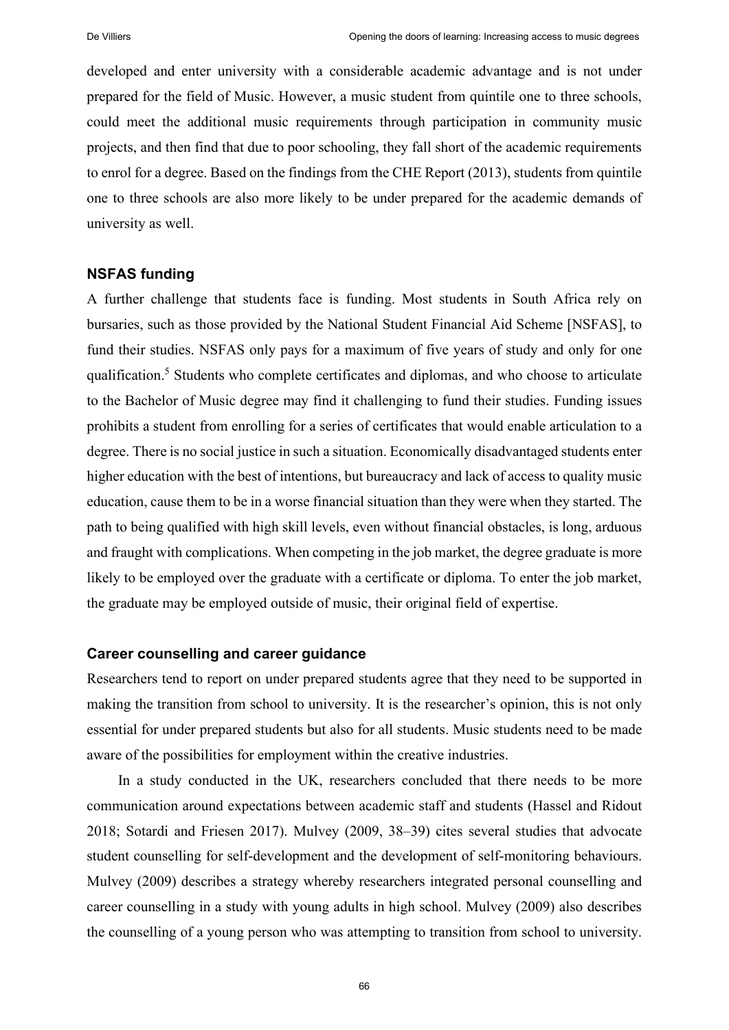developed and enter university with a considerable academic advantage and is not under prepared for the field of Music. However, a music student from quintile one to three schools, could meet the additional music requirements through participation in community music projects, and then find that due to poor schooling, they fall short of the academic requirements to enrol for a degree. Based on the findings from the CHE Report (2013), students from quintile one to three schools are also more likely to be under prepared for the academic demands of university as well.

#### **NSFAS funding**

A further challenge that students face is funding. Most students in South Africa rely on bursaries, such as those provided by the National Student Financial Aid Scheme [NSFAS], to fund their studies. NSFAS only pays for a maximum of five years of study and only for one qualification.<sup>5</sup> Students who complete certificates and diplomas, and who choose to articulate to the Bachelor of Music degree may find it challenging to fund their studies. Funding issues prohibits a student from enrolling for a series of certificates that would enable articulation to a degree. There is no social justice in such a situation. Economically disadvantaged students enter higher education with the best of intentions, but bureaucracy and lack of access to quality music education, cause them to be in a worse financial situation than they were when they started. The path to being qualified with high skill levels, even without financial obstacles, is long, arduous and fraught with complications. When competing in the job market, the degree graduate is more likely to be employed over the graduate with a certificate or diploma. To enter the job market, the graduate may be employed outside of music, their original field of expertise.

# **Career counselling and career guidance**

Researchers tend to report on under prepared students agree that they need to be supported in making the transition from school to university. It is the researcher's opinion, this is not only essential for under prepared students but also for all students. Music students need to be made aware of the possibilities for employment within the creative industries.

In a study conducted in the UK, researchers concluded that there needs to be more communication around expectations between academic staff and students (Hassel and Ridout 2018; Sotardi and Friesen 2017). Mulvey (2009, 38‒39) cites several studies that advocate student counselling for self-development and the development of self-monitoring behaviours. Mulvey (2009) describes a strategy whereby researchers integrated personal counselling and career counselling in a study with young adults in high school. Mulvey (2009) also describes the counselling of a young person who was attempting to transition from school to university.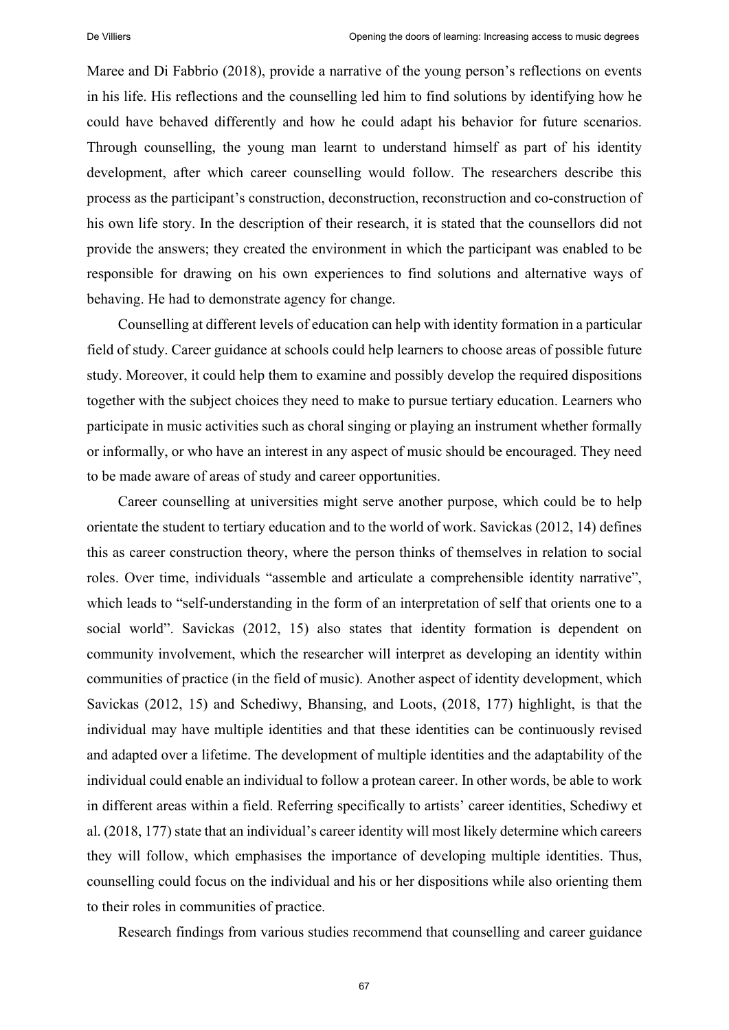Maree and Di Fabbrio (2018), provide a narrative of the young person's reflections on events in his life. His reflections and the counselling led him to find solutions by identifying how he could have behaved differently and how he could adapt his behavior for future scenarios. Through counselling, the young man learnt to understand himself as part of his identity development, after which career counselling would follow. The researchers describe this process as the participant's construction, deconstruction, reconstruction and co-construction of his own life story. In the description of their research, it is stated that the counsellors did not provide the answers; they created the environment in which the participant was enabled to be responsible for drawing on his own experiences to find solutions and alternative ways of behaving. He had to demonstrate agency for change.

Counselling at different levels of education can help with identity formation in a particular field of study. Career guidance at schools could help learners to choose areas of possible future study. Moreover, it could help them to examine and possibly develop the required dispositions together with the subject choices they need to make to pursue tertiary education. Learners who participate in music activities such as choral singing or playing an instrument whether formally or informally, or who have an interest in any aspect of music should be encouraged. They need to be made aware of areas of study and career opportunities.

Career counselling at universities might serve another purpose, which could be to help orientate the student to tertiary education and to the world of work. Savickas (2012, 14) defines this as career construction theory, where the person thinks of themselves in relation to social roles. Over time, individuals "assemble and articulate a comprehensible identity narrative", which leads to "self-understanding in the form of an interpretation of self that orients one to a social world". Savickas (2012, 15) also states that identity formation is dependent on community involvement, which the researcher will interpret as developing an identity within communities of practice (in the field of music). Another aspect of identity development, which Savickas (2012, 15) and Schediwy, Bhansing, and Loots, (2018, 177) highlight, is that the individual may have multiple identities and that these identities can be continuously revised and adapted over a lifetime. The development of multiple identities and the adaptability of the individual could enable an individual to follow a protean career. In other words, be able to work in different areas within a field. Referring specifically to artists' career identities, Schediwy et al. (2018, 177) state that an individual's career identity will most likely determine which careers they will follow, which emphasises the importance of developing multiple identities. Thus, counselling could focus on the individual and his or her dispositions while also orienting them to their roles in communities of practice.

Research findings from various studies recommend that counselling and career guidance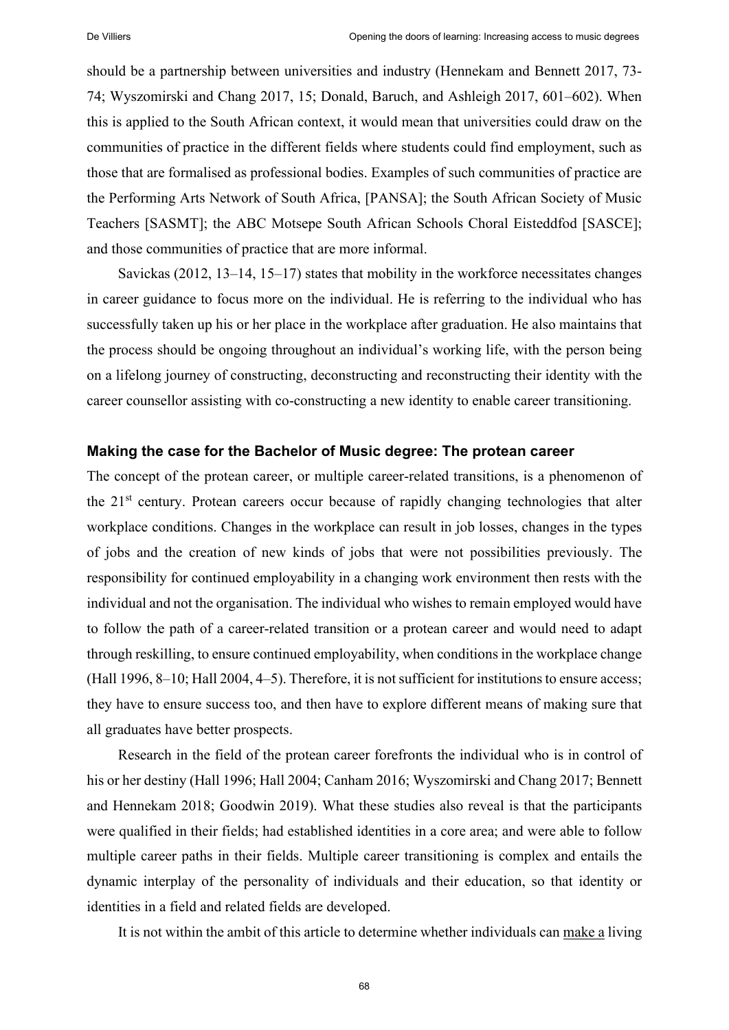should be a partnership between universities and industry (Hennekam and Bennett 2017, 73- 74; Wyszomirski and Chang 2017, 15; Donald, Baruch, and Ashleigh 2017, 601–602). When this is applied to the South African context, it would mean that universities could draw on the communities of practice in the different fields where students could find employment, such as those that are formalised as professional bodies. Examples of such communities of practice are the Performing Arts Network of South Africa, [PANSA]; the South African Society of Music Teachers [SASMT]; the ABC Motsepe South African Schools Choral Eisteddfod [SASCE]; and those communities of practice that are more informal.

Savickas  $(2012, 13-14, 15-17)$  states that mobility in the workforce necessitates changes in career guidance to focus more on the individual. He is referring to the individual who has successfully taken up his or her place in the workplace after graduation. He also maintains that the process should be ongoing throughout an individual's working life, with the person being on a lifelong journey of constructing, deconstructing and reconstructing their identity with the career counsellor assisting with co-constructing a new identity to enable career transitioning.

#### **Making the case for the Bachelor of Music degree: The protean career**

The concept of the protean career, or multiple career-related transitions, is a phenomenon of the 21<sup>st</sup> century. Protean careers occur because of rapidly changing technologies that alter workplace conditions. Changes in the workplace can result in job losses, changes in the types of jobs and the creation of new kinds of jobs that were not possibilities previously. The responsibility for continued employability in a changing work environment then rests with the individual and not the organisation. The individual who wishes to remain employed would have to follow the path of a career-related transition or a protean career and would need to adapt through reskilling, to ensure continued employability, when conditions in the workplace change (Hall 1996, 8–10; Hall 2004, 4–5). Therefore, it is not sufficient for institutions to ensure access; they have to ensure success too, and then have to explore different means of making sure that all graduates have better prospects.

Research in the field of the protean career forefronts the individual who is in control of his or her destiny (Hall 1996; Hall 2004; Canham 2016; Wyszomirski and Chang 2017; Bennett and Hennekam 2018; Goodwin 2019). What these studies also reveal is that the participants were qualified in their fields; had established identities in a core area; and were able to follow multiple career paths in their fields. Multiple career transitioning is complex and entails the dynamic interplay of the personality of individuals and their education, so that identity or identities in a field and related fields are developed.

It is not within the ambit of this article to determine whether individuals can make a living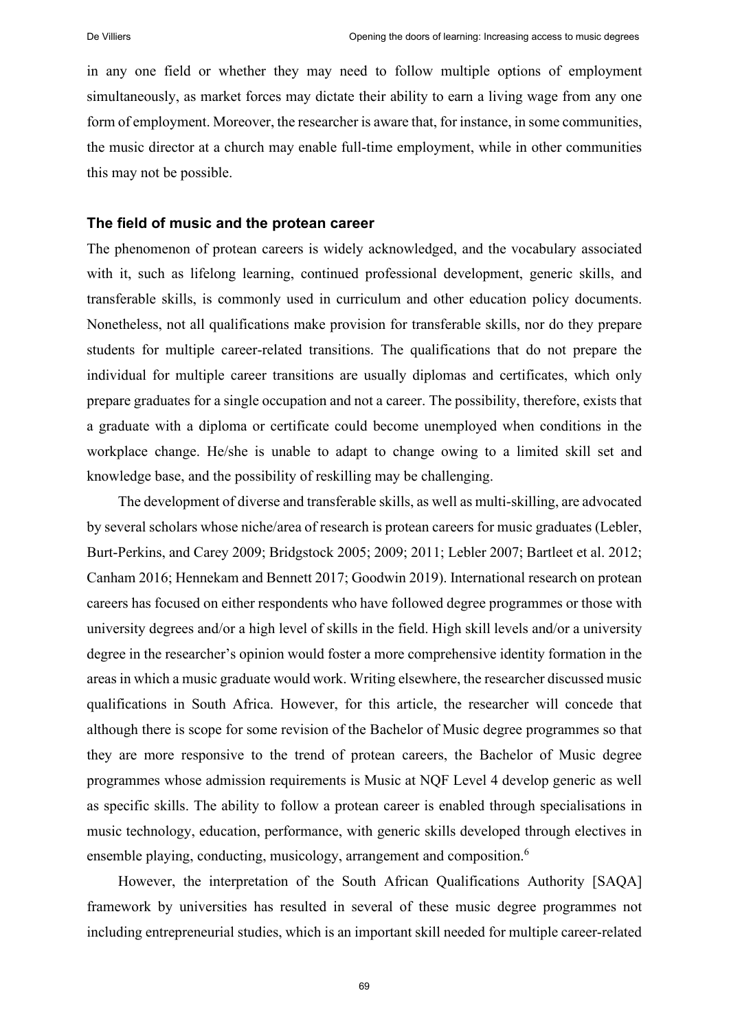in any one field or whether they may need to follow multiple options of employment simultaneously, as market forces may dictate their ability to earn a living wage from any one form of employment. Moreover, the researcher is aware that, for instance, in some communities, the music director at a church may enable full-time employment, while in other communities this may not be possible.

#### **The field of music and the protean career**

The phenomenon of protean careers is widely acknowledged, and the vocabulary associated with it, such as lifelong learning, continued professional development, generic skills, and transferable skills, is commonly used in curriculum and other education policy documents. Nonetheless, not all qualifications make provision for transferable skills, nor do they prepare students for multiple career-related transitions. The qualifications that do not prepare the individual for multiple career transitions are usually diplomas and certificates, which only prepare graduates for a single occupation and not a career. The possibility, therefore, exists that a graduate with a diploma or certificate could become unemployed when conditions in the workplace change. He/she is unable to adapt to change owing to a limited skill set and knowledge base, and the possibility of reskilling may be challenging.

The development of diverse and transferable skills, as well as multi-skilling, are advocated by several scholars whose niche/area of research is protean careers for music graduates (Lebler, Burt-Perkins, and Carey 2009; Bridgstock 2005; 2009; 2011; Lebler 2007; Bartleet et al. 2012; Canham 2016; Hennekam and Bennett 2017; Goodwin 2019). International research on protean careers has focused on either respondents who have followed degree programmes or those with university degrees and/or a high level of skills in the field. High skill levels and/or a university degree in the researcher's opinion would foster a more comprehensive identity formation in the areas in which a music graduate would work. Writing elsewhere, the researcher discussed music qualifications in South Africa. However, for this article, the researcher will concede that although there is scope for some revision of the Bachelor of Music degree programmes so that they are more responsive to the trend of protean careers, the Bachelor of Music degree programmes whose admission requirements is Music at NQF Level 4 develop generic as well as specific skills. The ability to follow a protean career is enabled through specialisations in music technology, education, performance, with generic skills developed through electives in ensemble playing, conducting, musicology, arrangement and composition.<sup>6</sup>

However, the interpretation of the South African Qualifications Authority [SAQA] framework by universities has resulted in several of these music degree programmes not including entrepreneurial studies, which is an important skill needed for multiple career-related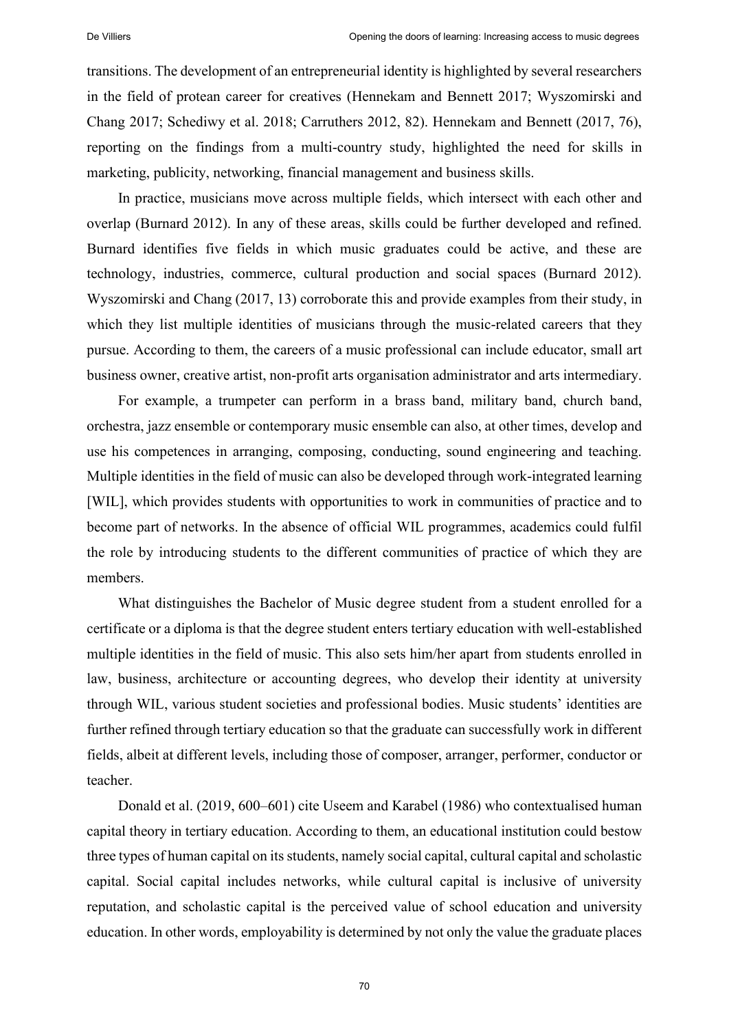transitions. The development of an entrepreneurial identity is highlighted by several researchers in the field of protean career for creatives (Hennekam and Bennett 2017; Wyszomirski and Chang 2017; Schediwy et al. 2018; Carruthers 2012, 82). Hennekam and Bennett (2017, 76), reporting on the findings from a multi-country study, highlighted the need for skills in marketing, publicity, networking, financial management and business skills.

In practice, musicians move across multiple fields, which intersect with each other and overlap (Burnard 2012). In any of these areas, skills could be further developed and refined. Burnard identifies five fields in which music graduates could be active, and these are technology, industries, commerce, cultural production and social spaces (Burnard 2012). Wyszomirski and Chang (2017, 13) corroborate this and provide examples from their study, in which they list multiple identities of musicians through the music-related careers that they pursue. According to them, the careers of a music professional can include educator, small art business owner, creative artist, non-profit arts organisation administrator and arts intermediary.

For example, a trumpeter can perform in a brass band, military band, church band, orchestra, jazz ensemble or contemporary music ensemble can also, at other times, develop and use his competences in arranging, composing, conducting, sound engineering and teaching. Multiple identities in the field of music can also be developed through work-integrated learning [WIL], which provides students with opportunities to work in communities of practice and to become part of networks. In the absence of official WIL programmes, academics could fulfil the role by introducing students to the different communities of practice of which they are members.

What distinguishes the Bachelor of Music degree student from a student enrolled for a certificate or a diploma is that the degree student enters tertiary education with well-established multiple identities in the field of music. This also sets him/her apart from students enrolled in law, business, architecture or accounting degrees, who develop their identity at university through WIL, various student societies and professional bodies. Music students' identities are further refined through tertiary education so that the graduate can successfully work in different fields, albeit at different levels, including those of composer, arranger, performer, conductor or teacher.

Donald et al. (2019, 600–601) cite Useem and Karabel (1986) who contextualised human capital theory in tertiary education. According to them, an educational institution could bestow three types of human capital on its students, namely social capital, cultural capital and scholastic capital. Social capital includes networks, while cultural capital is inclusive of university reputation, and scholastic capital is the perceived value of school education and university education. In other words, employability is determined by not only the value the graduate places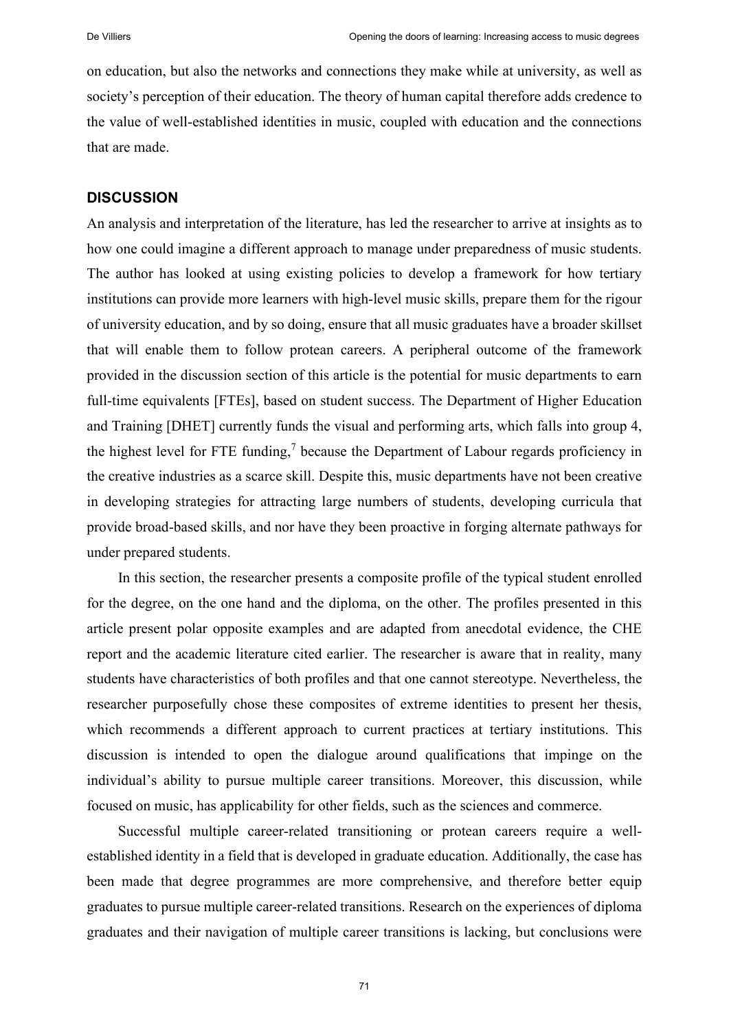on education, but also the networks and connections they make while at university, as well as society's perception of their education. The theory of human capital therefore adds credence to the value of well-established identities in music, coupled with education and the connections that are made.

# **DISCUSSION**

An analysis and interpretation of the literature, has led the researcher to arrive at insights as to how one could imagine a different approach to manage under preparedness of music students. The author has looked at using existing policies to develop a framework for how tertiary institutions can provide more learners with high-level music skills, prepare them for the rigour of university education, and by so doing, ensure that all music graduates have a broader skillset that will enable them to follow protean careers. A peripheral outcome of the framework provided in the discussion section of this article is the potential for music departments to earn full-time equivalents [FTEs], based on student success. The Department of Higher Education and Training [DHET] currently funds the visual and performing arts, which falls into group 4, the highest level for FTE funding, $<sup>7</sup>$  because the Department of Labour regards proficiency in</sup> the creative industries as a scarce skill. Despite this, music departments have not been creative in developing strategies for attracting large numbers of students, developing curricula that provide broad-based skills, and nor have they been proactive in forging alternate pathways for under prepared students.

In this section, the researcher presents a composite profile of the typical student enrolled for the degree, on the one hand and the diploma, on the other. The profiles presented in this article present polar opposite examples and are adapted from anecdotal evidence, the CHE report and the academic literature cited earlier. The researcher is aware that in reality, many students have characteristics of both profiles and that one cannot stereotype. Nevertheless, the researcher purposefully chose these composites of extreme identities to present her thesis, which recommends a different approach to current practices at tertiary institutions. This discussion is intended to open the dialogue around qualifications that impinge on the individual's ability to pursue multiple career transitions. Moreover, this discussion, while focused on music, has applicability for other fields, such as the sciences and commerce.

Successful multiple career-related transitioning or protean careers require a wellestablished identity in a field that is developed in graduate education. Additionally, the case has been made that degree programmes are more comprehensive, and therefore better equip graduates to pursue multiple career-related transitions. Research on the experiences of diploma graduates and their navigation of multiple career transitions is lacking, but conclusions were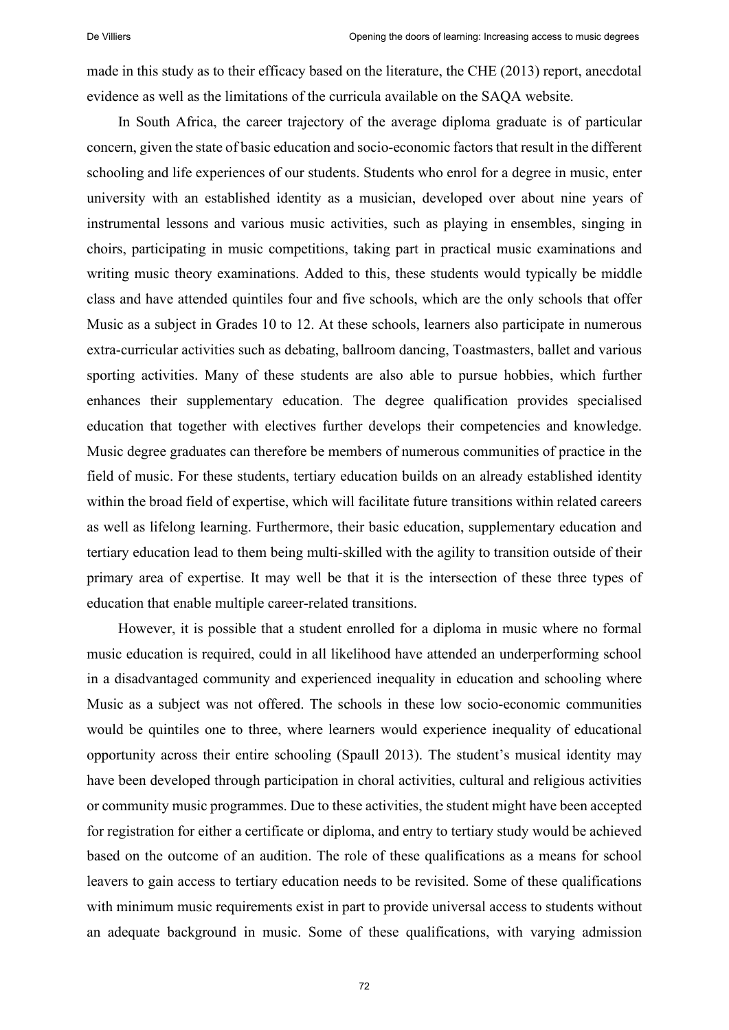made in this study as to their efficacy based on the literature, the CHE (2013) report, anecdotal evidence as well as the limitations of the curricula available on the SAQA website.

In South Africa, the career trajectory of the average diploma graduate is of particular concern, given the state of basic education and socio-economic factors that result in the different schooling and life experiences of our students. Students who enrol for a degree in music, enter university with an established identity as a musician, developed over about nine years of instrumental lessons and various music activities, such as playing in ensembles, singing in choirs, participating in music competitions, taking part in practical music examinations and writing music theory examinations. Added to this, these students would typically be middle class and have attended quintiles four and five schools, which are the only schools that offer Music as a subject in Grades 10 to 12. At these schools, learners also participate in numerous extra-curricular activities such as debating, ballroom dancing, Toastmasters, ballet and various sporting activities. Many of these students are also able to pursue hobbies, which further enhances their supplementary education. The degree qualification provides specialised education that together with electives further develops their competencies and knowledge. Music degree graduates can therefore be members of numerous communities of practice in the field of music. For these students, tertiary education builds on an already established identity within the broad field of expertise, which will facilitate future transitions within related careers as well as lifelong learning. Furthermore, their basic education, supplementary education and tertiary education lead to them being multi-skilled with the agility to transition outside of their primary area of expertise. It may well be that it is the intersection of these three types of education that enable multiple career-related transitions.

However, it is possible that a student enrolled for a diploma in music where no formal music education is required, could in all likelihood have attended an underperforming school in a disadvantaged community and experienced inequality in education and schooling where Music as a subject was not offered. The schools in these low socio-economic communities would be quintiles one to three, where learners would experience inequality of educational opportunity across their entire schooling (Spaull 2013). The student's musical identity may have been developed through participation in choral activities, cultural and religious activities or community music programmes. Due to these activities, the student might have been accepted for registration for either a certificate or diploma, and entry to tertiary study would be achieved based on the outcome of an audition. The role of these qualifications as a means for school leavers to gain access to tertiary education needs to be revisited. Some of these qualifications with minimum music requirements exist in part to provide universal access to students without an adequate background in music. Some of these qualifications, with varying admission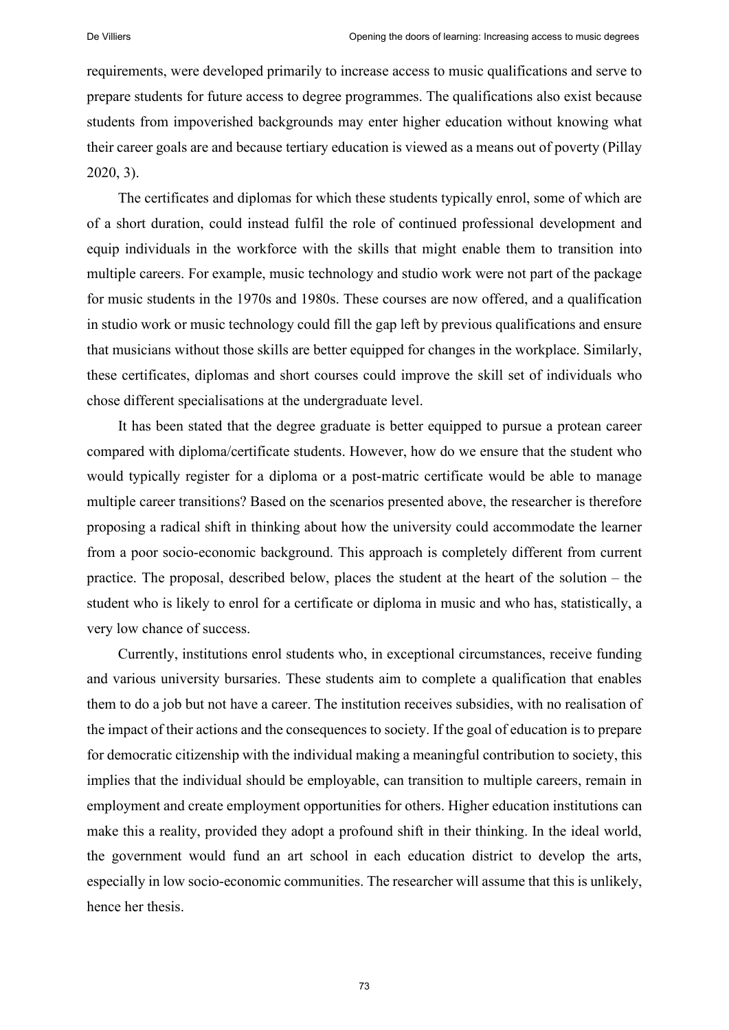requirements, were developed primarily to increase access to music qualifications and serve to prepare students for future access to degree programmes. The qualifications also exist because students from impoverished backgrounds may enter higher education without knowing what their career goals are and because tertiary education is viewed as a means out of poverty (Pillay 2020, 3).

The certificates and diplomas for which these students typically enrol, some of which are of a short duration, could instead fulfil the role of continued professional development and equip individuals in the workforce with the skills that might enable them to transition into multiple careers. For example, music technology and studio work were not part of the package for music students in the 1970s and 1980s. These courses are now offered, and a qualification in studio work or music technology could fill the gap left by previous qualifications and ensure that musicians without those skills are better equipped for changes in the workplace. Similarly, these certificates, diplomas and short courses could improve the skill set of individuals who chose different specialisations at the undergraduate level.

It has been stated that the degree graduate is better equipped to pursue a protean career compared with diploma/certificate students. However, how do we ensure that the student who would typically register for a diploma or a post-matric certificate would be able to manage multiple career transitions? Based on the scenarios presented above, the researcher is therefore proposing a radical shift in thinking about how the university could accommodate the learner from a poor socio-economic background. This approach is completely different from current practice. The proposal, described below, places the student at the heart of the solution – the student who is likely to enrol for a certificate or diploma in music and who has, statistically, a very low chance of success.

Currently, institutions enrol students who, in exceptional circumstances, receive funding and various university bursaries. These students aim to complete a qualification that enables them to do a job but not have a career. The institution receives subsidies, with no realisation of the impact of their actions and the consequences to society. If the goal of education is to prepare for democratic citizenship with the individual making a meaningful contribution to society, this implies that the individual should be employable, can transition to multiple careers, remain in employment and create employment opportunities for others. Higher education institutions can make this a reality, provided they adopt a profound shift in their thinking. In the ideal world, the government would fund an art school in each education district to develop the arts, especially in low socio-economic communities. The researcher will assume that this is unlikely, hence her thesis.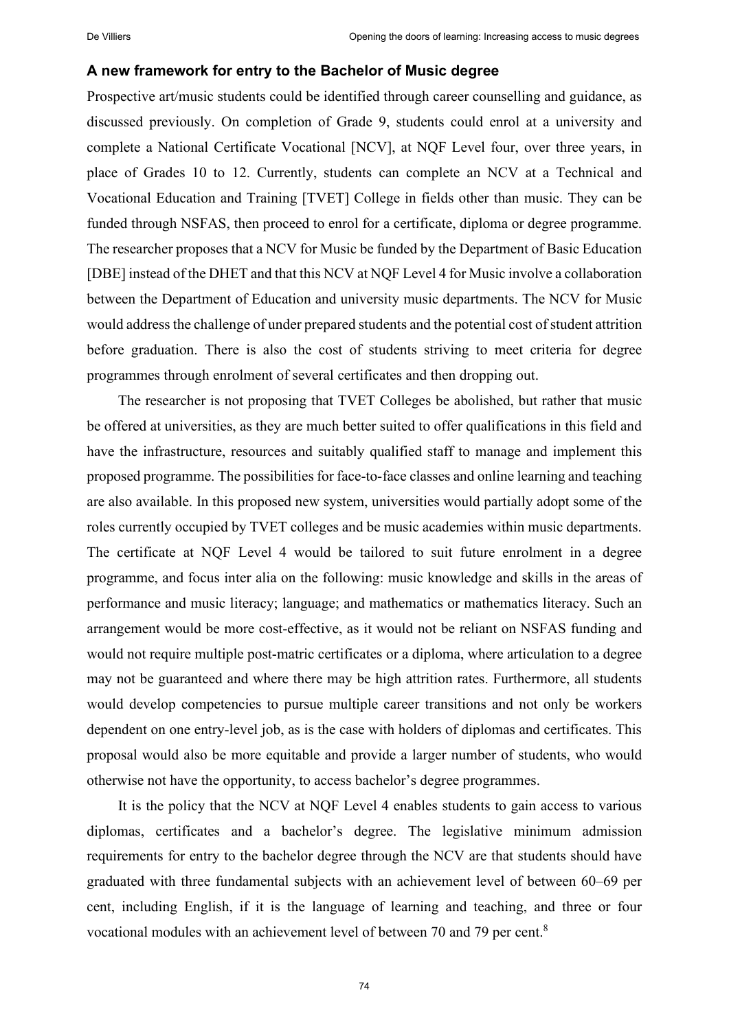#### **A new framework for entry to the Bachelor of Music degree**

Prospective art/music students could be identified through career counselling and guidance, as discussed previously. On completion of Grade 9, students could enrol at a university and complete a National Certificate Vocational [NCV], at NQF Level four, over three years, in place of Grades 10 to 12. Currently, students can complete an NCV at a Technical and Vocational Education and Training [TVET] College in fields other than music. They can be funded through NSFAS, then proceed to enrol for a certificate, diploma or degree programme. The researcher proposes that a NCV for Music be funded by the Department of Basic Education [DBE] instead of the DHET and that this NCV at NQF Level 4 for Music involve a collaboration between the Department of Education and university music departments. The NCV for Music would address the challenge of under prepared students and the potential cost of student attrition before graduation. There is also the cost of students striving to meet criteria for degree programmes through enrolment of several certificates and then dropping out.

The researcher is not proposing that TVET Colleges be abolished, but rather that music be offered at universities, as they are much better suited to offer qualifications in this field and have the infrastructure, resources and suitably qualified staff to manage and implement this proposed programme. The possibilities for face-to-face classes and online learning and teaching are also available. In this proposed new system, universities would partially adopt some of the roles currently occupied by TVET colleges and be music academies within music departments. The certificate at NQF Level 4 would be tailored to suit future enrolment in a degree programme, and focus inter alia on the following: music knowledge and skills in the areas of performance and music literacy; language; and mathematics or mathematics literacy. Such an arrangement would be more cost-effective, as it would not be reliant on NSFAS funding and would not require multiple post-matric certificates or a diploma, where articulation to a degree may not be guaranteed and where there may be high attrition rates. Furthermore, all students would develop competencies to pursue multiple career transitions and not only be workers dependent on one entry-level job, as is the case with holders of diplomas and certificates. This proposal would also be more equitable and provide a larger number of students, who would otherwise not have the opportunity, to access bachelor's degree programmes.

It is the policy that the NCV at NQF Level 4 enables students to gain access to various diplomas, certificates and a bachelor's degree. The legislative minimum admission requirements for entry to the bachelor degree through the NCV are that students should have graduated with three fundamental subjects with an achievement level of between 60–69 per cent, including English, if it is the language of learning and teaching, and three or four vocational modules with an achievement level of between 70 and 79 per cent.<sup>8</sup>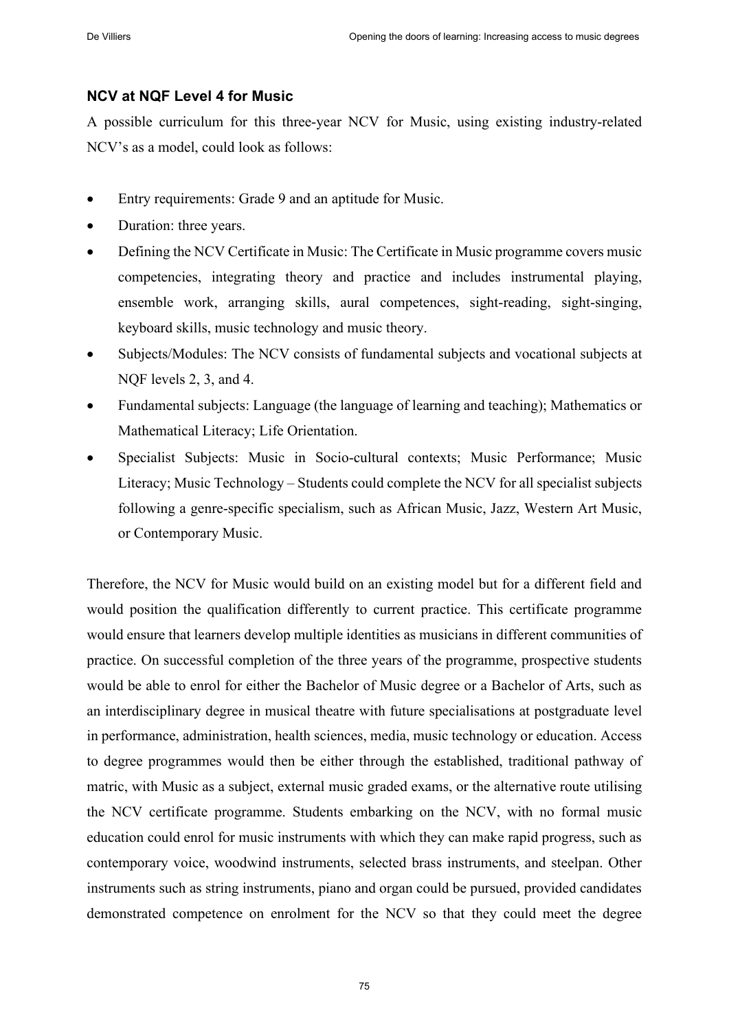# **NCV at NQF Level 4 for Music**

A possible curriculum for this three-year NCV for Music, using existing industry-related NCV's as a model, could look as follows:

- Entry requirements: Grade 9 and an aptitude for Music.
- Duration: three years.
- Defining the NCV Certificate in Music: The Certificate in Music programme covers music competencies, integrating theory and practice and includes instrumental playing, ensemble work, arranging skills, aural competences, sight-reading, sight-singing, keyboard skills, music technology and music theory.
- Subjects/Modules: The NCV consists of fundamental subjects and vocational subjects at NQF levels 2, 3, and 4.
- Fundamental subjects: Language (the language of learning and teaching); Mathematics or Mathematical Literacy; Life Orientation.
- Specialist Subjects: Music in Socio-cultural contexts; Music Performance; Music Literacy; Music Technology – Students could complete the NCV for all specialist subjects following a genre-specific specialism, such as African Music, Jazz, Western Art Music, or Contemporary Music.

Therefore, the NCV for Music would build on an existing model but for a different field and would position the qualification differently to current practice. This certificate programme would ensure that learners develop multiple identities as musicians in different communities of practice. On successful completion of the three years of the programme, prospective students would be able to enrol for either the Bachelor of Music degree or a Bachelor of Arts, such as an interdisciplinary degree in musical theatre with future specialisations at postgraduate level in performance, administration, health sciences, media, music technology or education. Access to degree programmes would then be either through the established, traditional pathway of matric, with Music as a subject, external music graded exams, or the alternative route utilising the NCV certificate programme. Students embarking on the NCV, with no formal music education could enrol for music instruments with which they can make rapid progress, such as contemporary voice, woodwind instruments, selected brass instruments, and steelpan. Other instruments such as string instruments, piano and organ could be pursued, provided candidates demonstrated competence on enrolment for the NCV so that they could meet the degree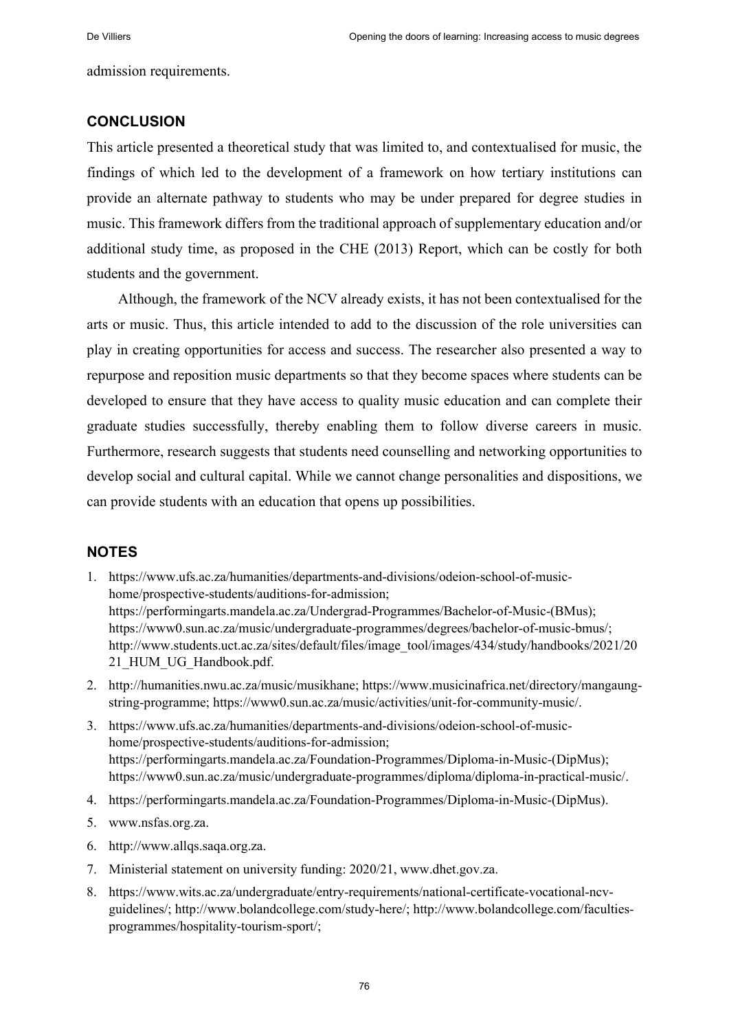admission requirements.

### **CONCLUSION**

This article presented a theoretical study that was limited to, and contextualised for music, the findings of which led to the development of a framework on how tertiary institutions can provide an alternate pathway to students who may be under prepared for degree studies in music. This framework differs from the traditional approach of supplementary education and/or additional study time, as proposed in the CHE (2013) Report, which can be costly for both students and the government.

Although, the framework of the NCV already exists, it has not been contextualised for the arts or music. Thus, this article intended to add to the discussion of the role universities can play in creating opportunities for access and success. The researcher also presented a way to repurpose and reposition music departments so that they become spaces where students can be developed to ensure that they have access to quality music education and can complete their graduate studies successfully, thereby enabling them to follow diverse careers in music. Furthermore, research suggests that students need counselling and networking opportunities to develop social and cultural capital. While we cannot change personalities and dispositions, we can provide students with an education that opens up possibilities.

# **NOTES**

- 1. [https://www.ufs.ac.za/humanities/departments-and-divisions/odeion-school-of-music](https://www.ufs.ac.za/humanities/departments-and-divisions/odeion-school-of-music-home/prospective-students/auditions-for-admission)[home/prospective-students/auditions-for-admission;](https://www.ufs.ac.za/humanities/departments-and-divisions/odeion-school-of-music-home/prospective-students/auditions-for-admission) [https://performingarts.mandela.ac.za/Undergrad-Programmes/Bachelor-of-Music-\(BMus\);](https://performingarts.mandela.ac.za/Undergrad-Programmes/Bachelor-of-Music-(BMus)) [https://www0.sun.ac.za/music/undergraduate-programmes/degrees/bachelor-of-music-bmus/;](https://www0.sun.ac.za/music/undergraduate-programmes/degrees/bachelor-of-music-bmus/) [http://www.students.uct.ac.za/sites/default/files/image\\_tool/images/434/study/handbooks/2021/20](http://www.students.uct.ac.za/sites/default/files/image_tool/images/434/study/handbooks/2021/2021_HUM_UG_Handbook.pdf) 21 HUM UG Handbook.pdf.
- 2. [http://humanities.nwu.ac.za/music/musikhane;](http://humanities.nwu.ac.za/music/musikhane) [https://www.musicinafrica.net/directory/mangaung](https://www.musicinafrica.net/directory/mangaung-string-programme)[string-programme;](https://www.musicinafrica.net/directory/mangaung-string-programme) [https://www0.sun.ac.za/music/activities/unit-for-community-music/.](https://www0.sun.ac.za/music/activities/unit-for-community-music/)
- 3. [https://www.ufs.ac.za/humanities/departments-and-divisions/odeion-school-of-music](https://www.ufs.ac.za/humanities/departments-and-divisions/odeion-school-of-music-home/prospective-students/auditions-for-admission)[home/prospective-students/auditions-for-admission;](https://www.ufs.ac.za/humanities/departments-and-divisions/odeion-school-of-music-home/prospective-students/auditions-for-admission) [https://performingarts.mandela.ac.za/Foundation-Programmes/Diploma-in-Music-\(DipMus\);](https://performingarts.mandela.ac.za/Foundation-Programmes/Diploma-in-Music-(DipMus)) [https://www0.sun.ac.za/music/undergraduate-programmes/diploma/diploma-in-practical-music/.](https://www0.sun.ac.za/music/undergraduate-programmes/diploma/diploma-in-practical-music/)
- 4. [https://performingarts.mandela.ac.za/Foundation-Programmes/Diploma-in-Music-\(DipMus\).](https://performingarts.mandela.ac.za/Foundation-Programmes/Diploma-in-Music-(DipMus))
- 5. [www.nsfas.org.za.](http://www.nsfas.org.za/)
- 6. [http://www.allqs.saqa.org.za.](http://www.allqs.saqa.org.za/)
- 7. Ministerial statement on university funding: 2020/21, [www.dhet.gov.za.](http://www.dhet.gov.za/)
- 8. [https://www.wits.ac.za/undergraduate/entry-requirements/national-certificate-vocational-ncv](https://www.wits.ac.za/undergraduate/entry-requirements/national-certificate-vocational-ncv-guidelines/)[guidelines/;](https://www.wits.ac.za/undergraduate/entry-requirements/national-certificate-vocational-ncv-guidelines/) [http://www.bolandcollege.com/study-here/;](http://www.bolandcollege.com/study-here/) [http://www.bolandcollege.com/faculties](http://www.bolandcollege.com/faculties-programmes/hospitality-tourism-sport/)[programmes/hospitality-tourism-sport/;](http://www.bolandcollege.com/faculties-programmes/hospitality-tourism-sport/)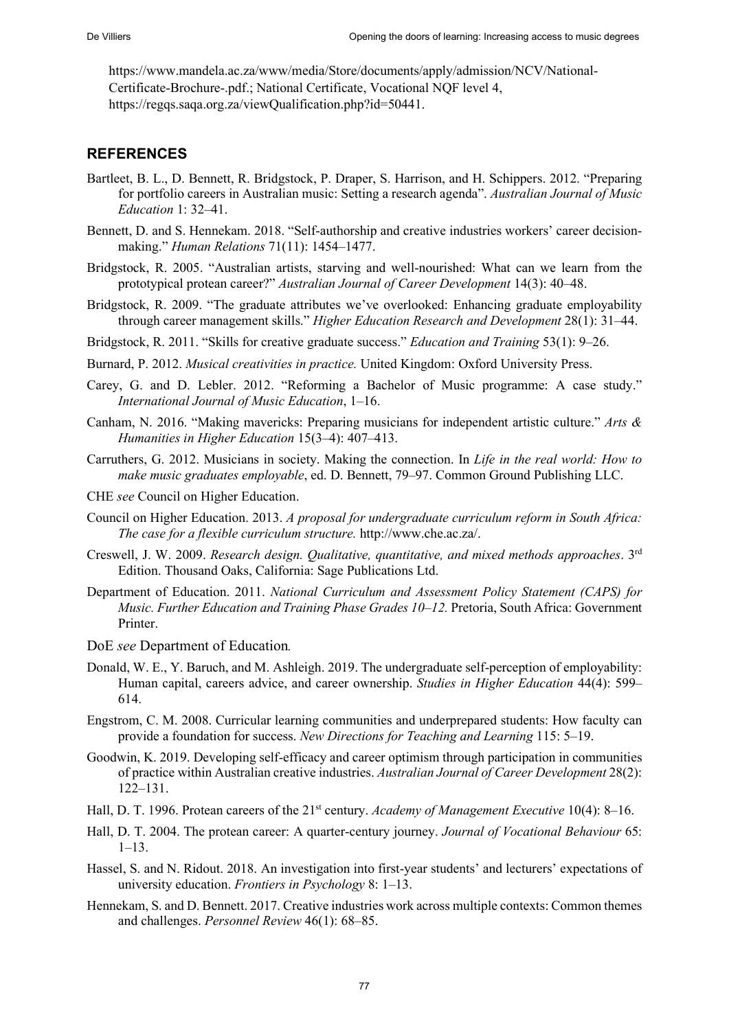[https://www.mandela.ac.za/www/media/Store/documents/apply/admission/NCV/National-](https://www.mandela.ac.za/www/media/Store/documents/apply/admission/NCV/National-Certificate-Brochure-.pdf)[Certificate-Brochure-.pdf.](https://www.mandela.ac.za/www/media/Store/documents/apply/admission/NCV/National-Certificate-Brochure-.pdf); National Certificate, Vocational NQF level 4, [https://regqs.saqa.org.za/viewQualification.php?id=50441.](https://regqs.saqa.org.za/viewQualification.php?id=50441)

# **REFERENCES**

- Bartleet, B. L., D. Bennett, R. Bridgstock, P. Draper, S. Harrison, and H. Schippers. 2012. "Preparing for portfolio careers in Australian music: Setting a research agenda". *Australian Journal of Music Education* 1: 32‒41.
- Bennett, D. and S. Hennekam. 2018. "Self-authorship and creative industries workers' career decisionmaking." *Human Relations* 71(11): 1454–1477.
- Bridgstock, R. 2005. "Australian artists, starving and well-nourished: What can we learn from the prototypical protean career?" *Australian Journal of Career Development* 14(3): 40–48.
- Bridgstock, R. 2009. "The graduate attributes we've overlooked: Enhancing graduate employability through career management skills." *Higher Education Research and Development* 28(1): 31–44.
- Bridgstock, R. 2011. "Skills for creative graduate success." *Education and Training* 53(1): 9‒26.
- Burnard, P. 2012. *Musical creativities in practice.* United Kingdom: Oxford University Press.
- Carey, G. and D. Lebler. 2012. "Reforming a Bachelor of Music programme: A case study." *International Journal of Music Education*, 1‒16.
- Canham, N. 2016. "Making mavericks: Preparing musicians for independent artistic culture." *Arts & Humanities in Higher Education* 15(3–4): 407–413.
- Carruthers, G. 2012. Musicians in society. Making the connection. In *Life in the real world: How to make music graduates employable*, ed. D. Bennett, 79–97. Common Ground Publishing LLC.
- CHE *see* Council on Higher Education.
- Council on Higher Education. 2013. *A proposal for undergraduate curriculum reform in South Africa: The case for a flexible curriculum structure.* http://www.che.ac.za/.
- Creswell, J. W. 2009. *Research design. Qualitative, quantitative, and mixed methods approaches*. 3rd Edition. Thousand Oaks, California: Sage Publications Ltd.
- Department of Education. 2011. *National Curriculum and Assessment Policy Statement (CAPS) for Music. Further Education and Training Phase Grades 10‒12.* Pretoria, South Africa: Government Printer.
- DoE *see* Department of Education*.*
- Donald, W. E., Y. Baruch, and M. Ashleigh. 2019. The undergraduate self-perception of employability: Human capital, careers advice, and career ownership. *Studies in Higher Education* 44(4): 599– 614.
- Engstrom, C. M. 2008. Curricular learning communities and underprepared students: How faculty can provide a foundation for success. *New Directions for Teaching and Learning* 115: 5‒19.
- Goodwin, K. 2019. Developing self-efficacy and career optimism through participation in communities of practice within Australian creative industries. *Australian Journal of Career Development* 28(2):  $122 - 131$ .
- Hall, D. T. 1996. Protean careers of the 21st century. *Academy of Management Executive* 10(4): 8‒16.
- Hall, D. T. 2004. The protean career: A quarter-century journey. *Journal of Vocational Behaviour* 65:  $1 - 13$ .
- Hassel, S. and N. Ridout. 2018. An investigation into first-year students' and lecturers' expectations of university education. *Frontiers in Psychology* 8: 1‒13.
- Hennekam, S. and D. Bennett. 2017. Creative industries work across multiple contexts: Common themes and challenges. *Personnel Review* 46(1): 68‒85.